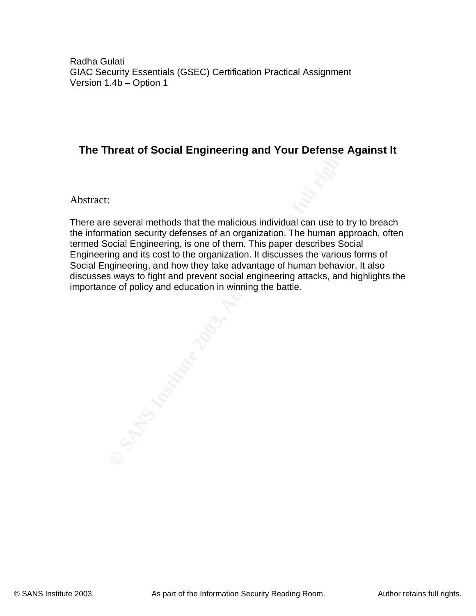Radha Gulati GIAC Security Essentials (GSEC) Certification Practical Assignment Version 1.4b – Option 1

# **The Threat of Social Engineering and Your Defense Against It**

## Abstract:

There are several methods that the malicious individual can use to try to breach the information security defenses of an organization. The human approach, often termed Social Engineering, is one of them. This paper describes Social Engineering and its cost to the organization. It discusses the various forms of Social Engineering, and how they take advantage of human behavior. It also discusses ways to fight and prevent social engineering attacks, and highlights the importance of policy and education in winning the battle.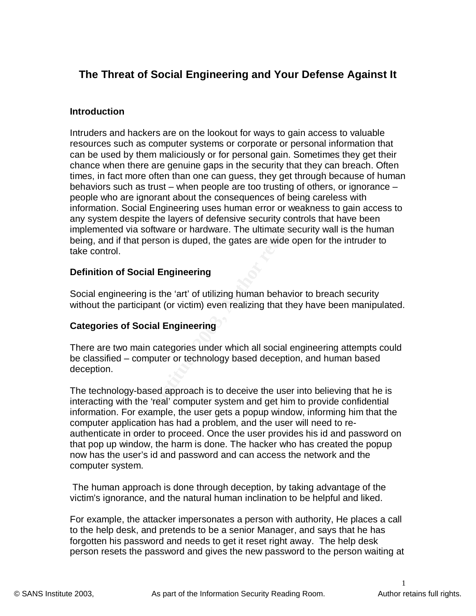# **The Threat of Social Engineering and Your Defense Against It**

## **Introduction**

**Example 10** them maliciously or for personal gain. Sometimes the mether are genuine gaps in the security that they can brack the mether than one can guess, they get through becaust more start more often than one such as t behaviors such as trust – when people are too trusting of others, or ignorance – Intruders and hackers are on the lookout for ways to gain access to valuable resources such as computer systems or corporate or personal information that can be used by them maliciously or for personal gain. Sometimes they get their chance when there are genuine gaps in the security that they can breach. Often times, in fact more often than one can guess, they get through because of human people who are ignorant about the consequences of being careless with information. Social Engineering uses human error or weakness to gain access to any system despite the layers of defensive security controls that have been implemented via software or hardware. The ultimate security wall is the human being, and if that person is duped, the gates are wide open for the intruder to take control.

## **Definition of Social Engineering**

Social engineering is the 'art' of utilizing human behavior to breach security without the participant (or victim) even realizing that they have been manipulated.

## **Categories of Social Engineering**

There are two main categories under which all social engineering attempts could be classified – computer or technology based deception, and human based deception.

The technology-based approach is to deceive the user into believing that he is interacting with the 'real' computer system and get him to provide confidential information. For example, the user gets a popup window, informing him that the computer application has had a problem, and the user will need to reauthenticate in order to proceed. Once the user provides his id and password on that pop up window, the harm is done. The hacker who has created the popup now has the user's id and password and can access the network and the computer system.

 The human approach is done through deception, by taking advantage of the victim's ignorance, and the natural human inclination to be helpful and liked.

Key fingerprint = AF19 FA27 2F94 998D FDB5 DE3D F8B5 06E4 A169 4E46 For example, the attacker impersonates a person with authority, He places a call to the help desk, and pretends to be a senior Manager, and says that he has forgotten his password and needs to get it reset right away. The help desk person resets the password and gives the new password to the person waiting at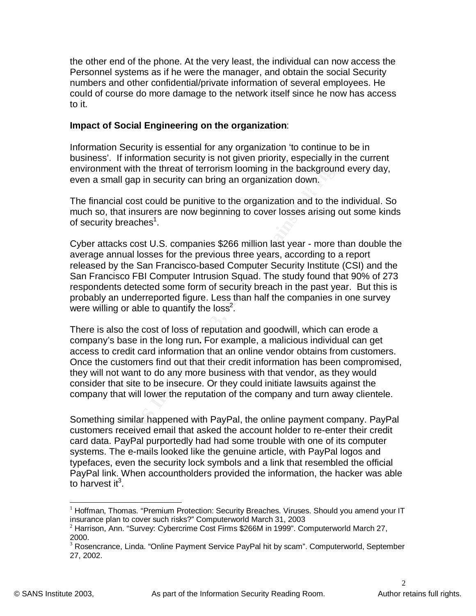the other end of the phone. At the very least, the individual can now access the Personnel systems as if he were the manager, and obtain the social Security numbers and other confidential/private information of several employees. He could of course do more damage to the network itself since he now has access to it.

### **Impact of Social Engineering on the organization**:

Information Security is essential for any organization 'to continue to be in business'. If information security is not given priority, especially in the current environment with the threat of terrorism looming in the background every day, even a small gap in security can bring an organization down.

The financial cost could be punitive to the organization and to the individual. So much so, that insurers are now beginning to cover losses arising out some kinds of security breaches<sup>1</sup>.

on Security is eesemant of any origanization to comune to the<br>
1. If information security is not given priority, especially in it<br>
ent with the threat of terrorism looming in the background e<br>
meth with the threat of terro Cyber attacks cost U.S. companies \$266 million last year - more than double the average annual losses for the previous three years, according to a report released by the San Francisco-based Computer Security Institute (CSI) and the San Francisco FBI Computer Intrusion Squad. The study found that 90% of 273 respondents detected some form of security breach in the past year. But this is probably an underreported figure. Less than half the companies in one survey were willing or able to quantify the loss<sup>2</sup>.

There is also the cost of loss of reputation and goodwill, which can erode a company's base in the long run**.** For example, a malicious individual can get access to credit card information that an online vendor obtains from customers. Once the customers find out that their credit information has been compromised, they will not want to do any more business with that vendor, as they would consider that site to be insecure. Or they could initiate lawsuits against the company that will lower the reputation of the company and turn away clientele.

Something similar happened with PayPal, the online payment company. PayPal customers received email that asked the account holder to re-enter their credit card data. PayPal purportedly had had some trouble with one of its computer systems. The e-mails looked like the genuine article, with PayPal logos and typefaces, even the security lock symbols and a link that resembled the official PayPal link. When accountholders provided the information, the hacker was able to harvest it<sup>3</sup>.

 $\overline{a}$ 

 $1$  Hoffman, Thomas. "Premium Protection: Security Breaches. Viruses. Should you amend your IT insurance plan to cover such risks?" Computerworld March 31, 2003

 $2$  Harrison, Ann. "Survey: Cybercrime Cost Firms \$266M in 1999". Computerworld March 27, 2000.

<sup>&</sup>lt;sup>3</sup> Rosencrance, Linda. "Online Payment Service PayPal hit by scam". Computerworld, September 27, 2002.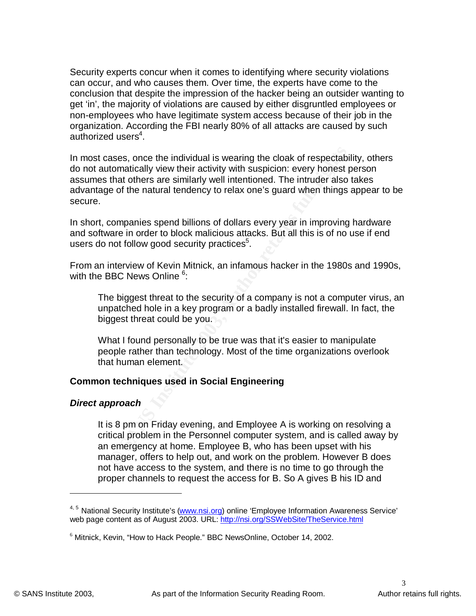Security experts concur when it comes to identifying where security violations can occur, and who causes them. Over time, the experts have come to the conclusion that despite the impression of the hacker being an outsider wanting to get 'in', the majority of violations are caused by either disgruntled employees or non-employees who have legitimate system access because of their job in the organization. According the FBI nearly 80% of all attacks are caused by such authorized users<sup>4</sup>.

ases, once the individual is wearing the cloak of respectabit<br>tomatically view their activity with suspicion: every honest ptat others are similarly well intentioned. The intruder also<br>e of the natural tendency to relax on advantage of the natural tendency to relax one's guard when things appear to be In most cases, once the individual is wearing the cloak of respectability, others do not automatically view their activity with suspicion: every honest person assumes that others are similarly well intentioned. The intruder also takes secure.

In short, companies spend billions of dollars every year in improving hardware and software in order to block malicious attacks. But all this is of no use if end users do not follow good security practices $5$ .

From an interview of Kevin Mitnick, an infamous hacker in the 1980s and 1990s, with the BBC News Online <sup>6</sup>:

The biggest threat to the security of a company is not a computer virus, an unpatched hole in a key program or a badly installed firewall. In fact, the biggest threat could be you.

What I found personally to be true was that it's easier to manipulate people rather than technology. Most of the time organizations overlook that human element.

## **Common techniques used in Social Engineering**

#### *Direct approach*

It is 8 pm on Friday evening, and Employee A is working on resolving a critical problem in the Personnel computer system, and is called away by an emergency at home. Employee B, who has been upset with his manager, offers to help out, and work on the problem. However B does not have access to the system, and there is no time to go through the proper channels to request the access for B. So A gives B his ID and

 $\overline{a}$ 

<sup>&</sup>lt;sup>4, 5</sup> National Security Institute's (www.nsi.org) online 'Employee Information Awareness Service' web page content as of August 2003. URL: http://nsi.org/SSWebSite/TheService.html

<sup>&</sup>lt;sup>6</sup> Mitnick, Kevin, "How to Hack People." BBC NewsOnline, October 14, 2002.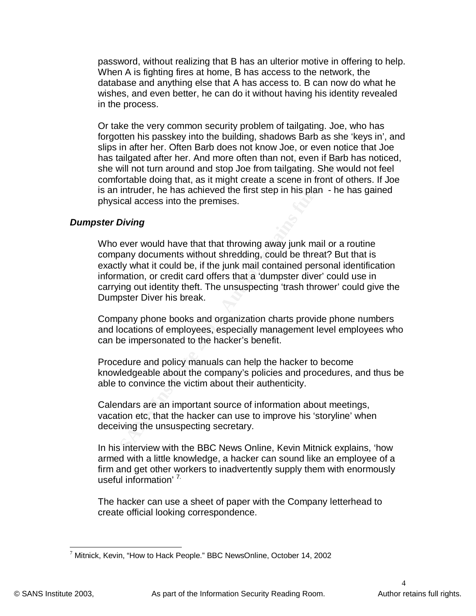password, without realizing that B has an ulterior motive in offering to help. When A is fighting fires at home, B has access to the network, the database and anything else that A has access to. B can now do what he wishes, and even better, he can do it without having his identity revealed in the process.

is an intruder, he has achieved the first step in his plan - he has gained Or take the very common security problem of tailgating. Joe, who has forgotten his passkey into the building, shadows Barb as she 'keys in', and slips in after her. Often Barb does not know Joe, or even notice that Joe has tailgated after her. And more often than not, even if Barb has noticed, she will not turn around and stop Joe from tailgating. She would not feel comfortable doing that, as it might create a scene in front of others. If Joe physical access into the premises.

#### *Dumpster Diving*

**Solution and the mean of the mean ones not know obe, or even from the sidigated after her. And more often than not, even if Barb e will not turn around and stop Joe from tailgating. She would not turn around and stop Joe** Who ever would have that that throwing away junk mail or a routine company documents without shredding, could be threat? But that is exactly what it could be, if the junk mail contained personal identification information, or credit card offers that a 'dumpster diver' could use in carrying out identity theft. The unsuspecting 'trash thrower' could give the Dumpster Diver his break.

Company phone books and organization charts provide phone numbers and locations of employees, especially management level employees who can be impersonated to the hacker's benefit.

Procedure and policy manuals can help the hacker to become knowledgeable about the company's policies and procedures, and thus be able to convince the victim about their authenticity.

Calendars are an important source of information about meetings, vacation etc, that the hacker can use to improve his 'storyline' when deceiving the unsuspecting secretary.

In his interview with the BBC News Online, Kevin Mitnick explains, 'how armed with a little knowledge, a hacker can sound like an employee of a firm and get other workers to inadvertently supply them with enormously useful information' 7.

create official looking correspondence. The hacker can use a sheet of paper with the Company letterhead to

 $\overline{a}$  $7$  Mitnick, Kevin, "How to Hack People." BBC NewsOnline, October 14, 2002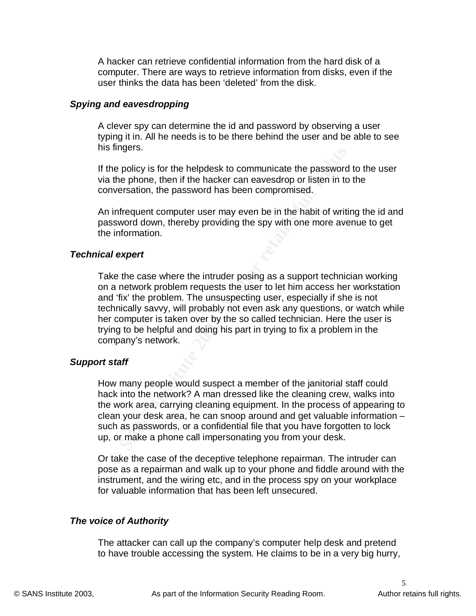A hacker can retrieve confidential information from the hard disk of a computer. There are ways to retrieve information from disks, even if the user thinks the data has been 'deleted' from the disk.

#### *Spying and eavesdropping*

A clever spy can determine the id and password by observing a user typing it in. All he needs is to be there behind the user and be able to see his fingers.

conversation, the password has been compromised. If the policy is for the helpdesk to communicate the password to the user via the phone, then if the hacker can eavesdrop or listen in to the

An infrequent computer user may even be in the habit of writing the id and password down, thereby providing the spy with one more avenue to get the information.

#### *Technical expert*

**Example 15** Singlets.<br>
Integrals, the policy is for the helpdesk to communicate the password<br>
the phone, then if the hacker can eavesdrop or listen in to<br>
nversation, the password has been compromised.<br>
Infrequent compute Take the case where the intruder posing as a support technician working on a network problem requests the user to let him access her workstation and 'fix' the problem. The unsuspecting user, especially if she is not technically savvy, will probably not even ask any questions, or watch while her computer is taken over by the so called technician. Here the user is trying to be helpful and doing his part in trying to fix a problem in the company's network.

#### *Support staff*

How many people would suspect a member of the janitorial staff could hack into the network? A man dressed like the cleaning crew, walks into the work area, carrying cleaning equipment. In the process of appearing to clean your desk area, he can snoop around and get valuable information – such as passwords, or a confidential file that you have forgotten to lock up, or make a phone call impersonating you from your desk.

Or take the case of the deceptive telephone repairman. The intruder can pose as a repairman and walk up to your phone and fiddle around with the instrument, and the wiring etc, and in the process spy on your workplace for valuable information that has been left unsecured.

#### *The voice of Authority*

The attacker can call up the company's computer help desk and pretend to have trouble accessing the system. He claims to be in a very big hurry,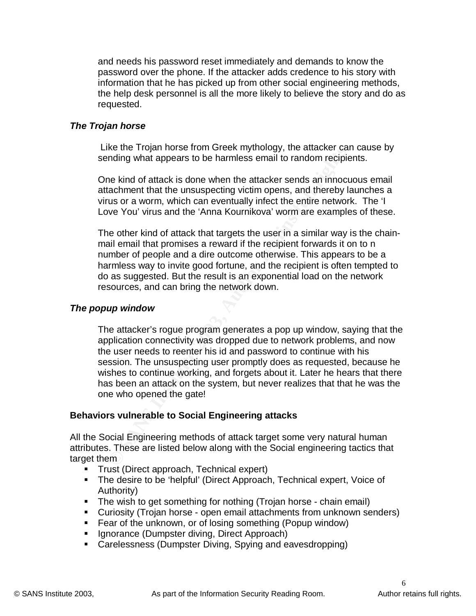and needs his password reset immediately and demands to know the password over the phone. If the attacker adds credence to his story with information that he has picked up from other social engineering methods, the help desk personnel is all the more likely to believe the story and do as requested.

#### *The Trojan horse*

 Like the Trojan horse from Greek mythology, the attacker can cause by sending what appears to be harmless email to random recipients.

attachment that the unsuspecting victim opens, and thereby launches a One kind of attack is done when the attacker sends an innocuous email virus or a worm, which can eventually infect the entire network. The 'I Love You' virus and the 'Anna Kournikova' worm are examples of these.

The other kind of attack that targets the user in a similar way is the chainmail email that promises a reward if the recipient forwards it on to n number of people and a dire outcome otherwise. This appears to be a harmless way to invite good fortune, and the recipient is often tempted to do as suggested. But the result is an exponential load on the network resources, and can bring the network down.

#### *The popup window*

Ne the Tright moise firom Greek mytrology, the attacker can<br>the ting that appears to be harmless email to mediate and a chacker is<br>an acachment that the unsuspecting victim opens, and thereby las or a worm, which can event The attacker's rogue program generates a pop up window, saying that the application connectivity was dropped due to network problems, and now the user needs to reenter his id and password to continue with his session. The unsuspecting user promptly does as requested, because he wishes to continue working, and forgets about it. Later he hears that there has been an attack on the system, but never realizes that that he was the one who opened the gate!

#### **Behaviors vulnerable to Social Engineering attacks**

All the Social Engineering methods of attack target some very natural human attributes. These are listed below along with the Social engineering tactics that target them

- **Trust (Direct approach, Technical expert)**
- The desire to be 'helpful' (Direct Approach, Technical expert, Voice of Authority)
- The wish to get something for nothing (Trojan horse chain email)
- Curiosity (Trojan horse open email attachments from unknown senders)
	- **Fear of the unknown, or of losing something (Popup window)**
	- **Ignorance (Dumpster diving, Direct Approach)**
	- Carelessness (Dumpster Diving, Spying and eavesdropping)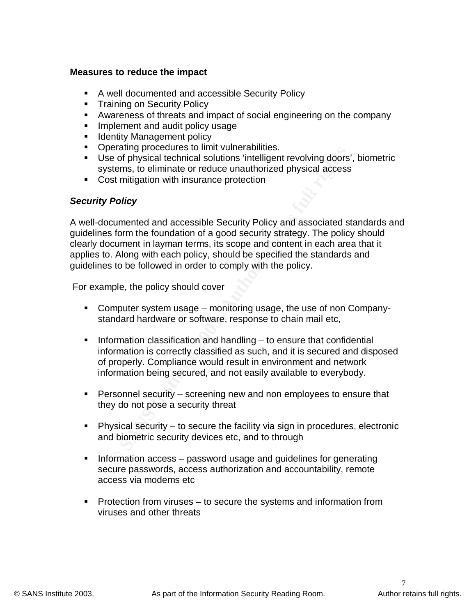#### **Measures to reduce the impact**

- A well documented and accessible Security Policy
- **Fig. 3** Training on Security Policy
- **EXED Awareness of threats and impact of social engineering on the company**
- **Implement and audit policy usage**
- **Example 1** Identity Management policy
- Operating procedures to limit vulnerabilities.
- **Use of physical technical solutions 'intelligent revolving doors', biometric** systems, to eliminate or reduce unauthorized physical access
- Cost mitigation with insurance protection

## *Security Policy*

**Detaining proceauties to mint vurnieriamilies.**<br> **See of physical technical solutions 'intelligent revolving doors**<br> **Policy**<br> **CONSTY EXECUTE CONSTAND CONSTAND TO EXECUTE CONSTAND CONSTAND CONSTAND CONSTAND CONSTANT CONS** A well-documented and accessible Security Policy and associated standards and guidelines form the foundation of a good security strategy. The policy should clearly document in layman terms, its scope and content in each area that it applies to. Along with each policy, should be specified the standards and guidelines to be followed in order to comply with the policy.

For example, the policy should cover

- Computer system usage monitoring usage, the use of non Companystandard hardware or software, response to chain mail etc,
- $\blacksquare$  Information classification and handling  $-$  to ensure that confidential information is correctly classified as such, and it is secured and disposed of properly. Compliance would result in environment and network information being secured, and not easily available to everybody.
- **Personnel security screening new and non employees to ensure that** they do not pose a security threat
- $\blacksquare$  Physical security to secure the facility via sign in procedures, electronic and biometric security devices etc, and to through
- $\blacksquare$  Information access password usage and guidelines for generating secure passwords, access authorization and accountability, remote access via modems etc
- viruses and other threats and  $\frac{1}{2}$  and  $\frac{1}{2}$  and  $\frac{1}{2}$  and  $\frac{1}{2}$  and  $\frac{1}{2}$  and  $\frac{1}{2}$  and  $\frac{1}{2}$  and  $\frac{1}{2}$  and  $\frac{1}{2}$  and  $\frac{1}{2}$  and  $\frac{1}{2}$  and  $\frac{1}{2}$  and  $\frac{1}{2}$  and  $\frac{1}{2}$  **Protection from viruses – to secure the systems and information from**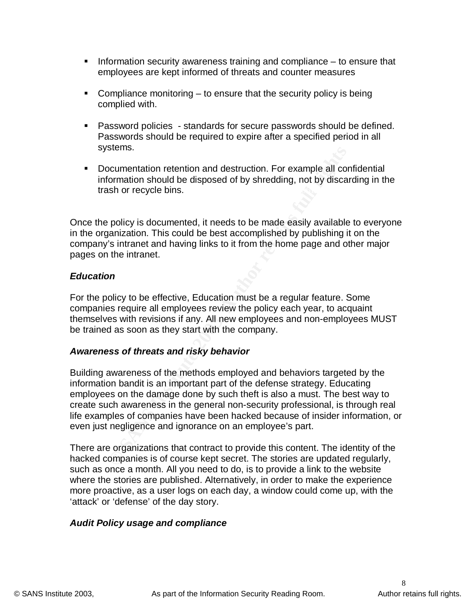- **Information security awareness training and compliance**  $-$  **to ensure that** employees are kept informed of threats and counter measures
- Compliance monitoring  $-$  to ensure that the security policy is being complied with.
- **Password policies** standards for secure passwords should be defined. Passwords should be required to expire after a specified period in all systems.
- ${\bf mass}$  frame  ${\bf mass}$  are cycle bins. **• Documentation retention and destruction. For example all confidential** information should be disposed of by shredding, not by discarding in the

Once the policy is documented, it needs to be made easily available to everyone in the organization. This could be best accomplished by publishing it on the company's intranet and having links to it from the home page and other major pages on the intranet.

## *Education*

For the policy to be effective, Education must be a regular feature. Some companies require all employees review the policy each year, to acquaint themselves with revisions if any. All new employees and non-employees MUST be trained as soon as they start with the company.

## *Awareness of threats and risky behavior*

sterns.<br>
Sterns.<br>
Commentation retention and destruction. For example all coromation should be disposed of by shredding, not by discar<br>
shore recycle bins.<br>
policy is documented, it needs to be made easily available<br>
pairi Building awareness of the methods employed and behaviors targeted by the information bandit is an important part of the defense strategy. Educating employees on the damage done by such theft is also a must. The best way to create such awareness in the general non-security professional, is through real life examples of companies have been hacked because of insider information, or even just negligence and ignorance on an employee's part.

There are organizations that contract to provide this content. The identity of the hacked companies is of course kept secret. The stories are updated regularly, such as once a month. All you need to do, is to provide a link to the website where the stories are published. Alternatively, in order to make the experience more proactive, as a user logs on each day, a window could come up, with the 'attack' or 'defense' of the day story.

## *Audit Policy usage and compliance*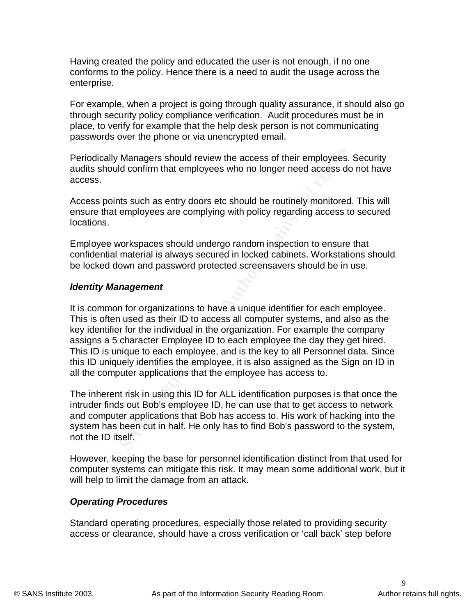Having created the policy and educated the user is not enough, if no one conforms to the policy. Hence there is a need to audit the usage across the enterprise.

For example, when a project is going through quality assurance, it should also go through security policy compliance verification. Audit procedures must be in place, to verify for example that the help desk person is not communicating passwords over the phone or via unencrypted email.

Periodically Managers should review the access of their employees. Security audits should confirm that employees who no longer need access do not have access.

Access points such as entry doors etc should be routinely monitored. This will ensure that employees are complying with policy regarding access to secured locations.

Employee workspaces should undergo random inspection to ensure that confidential material is always secured in locked cabinets. Workstations should be locked down and password protected screensavers should be in use.

#### *Identity Management*

Illy Managers should review the access of their employees.<br>
ould confirm that employees who no longer need access do<br>
oints such as entry doors etc should be routinely monitored<br>
at employees are complying with policy rega It is common for organizations to have a unique identifier for each employee. This is often used as their ID to access all computer systems, and also as the key identifier for the individual in the organization. For example the company assigns a 5 character Employee ID to each employee the day they get hired. This ID is unique to each employee, and is the key to all Personnel data. Since this ID uniquely identifies the employee, it is also assigned as the Sign on ID in all the computer applications that the employee has access to.

The inherent risk in using this ID for ALL identification purposes is that once the intruder finds out Bob's employee ID, he can use that to get access to network and computer applications that Bob has access to. His work of hacking into the system has been cut in half. He only has to find Bob's password to the system, not the ID itself.

However, keeping the base for personnel identification distinct from that used for computer systems can mitigate this risk. It may mean some additional work, but it will help to limit the damage from an attack.

#### *Operating Procedures*

Standard operating procedures, especially those related to providing security access or clearance, should have a cross verification or 'call back' step before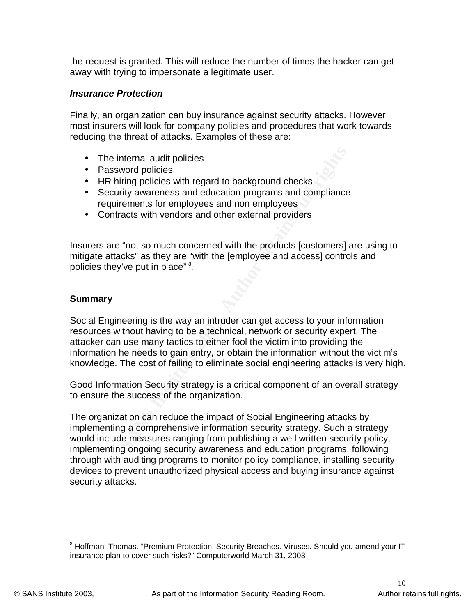the request is granted. This will reduce the number of times the hacker can get away with trying to impersonate a legitimate user.

#### *Insurance Protection*

Finally, an organization can buy insurance against security attacks. However most insurers will look for company policies and procedures that work towards reducing the threat of attacks. Examples of these are:

- The internal audit policies
- Password policies
- HR hiring policies with regard to background checks
- Security awareness and education programs and compliance requirements for employees and non employees
	- Contracts with vendors and other external providers

Insurers are "not so much concerned with the products [customers] are using to mitigate attacks" as they are "with the [employee and access] controls and policies they've put in place"<sup>8</sup>.

#### **Summary**

Social Engineering is the way an intruder can get access to your information resources without having to be a technical, network or security expert. The attacker can use many tactics to either fool the victim into providing the information he needs to gain entry, or obtain the information without the victim's knowledge. The cost of failing to eliminate social engineering attacks is very high.

Good Information Security strategy is a critical component of an overall strategy to ensure the success of the organization.

ie internal audit policies<br>
sesword policies<br>
Se string policies<br>
Security awareness and education programs and compliance<br>
cruity awareness and education programs and compliance<br>
quirements for employees and non employees The organization can reduce the impact of Social Engineering attacks by implementing a comprehensive information security strategy. Such a strategy would include measures ranging from publishing a well written security policy, implementing ongoing security awareness and education programs, following through with auditing programs to monitor policy compliance, installing security devices to prevent unauthorized physical access and buying insurance against security attacks.

 $\overline{a}$ <sup>8</sup> Hoffman, Thomas. "Premium Protection: Security Breaches. Viruses. Should you amend your IT insurance plan to cover such risks?" Computerworld March 31, 2003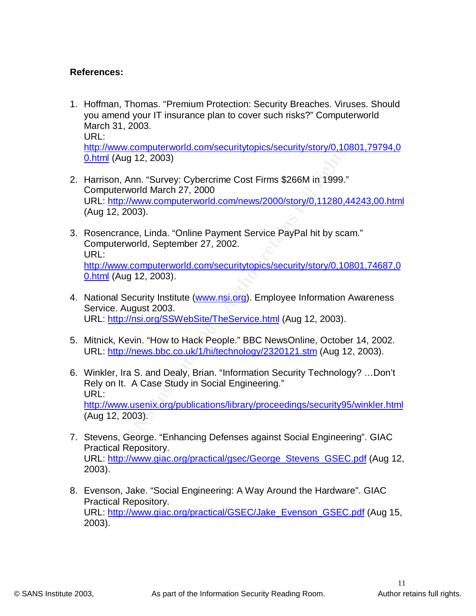# **References:**

- 1. Hoffman, Thomas. "Premium Protection: Security Breaches. Viruses. Should you amend your IT insurance plan to cover such risks?" Computerworld March 31, 2003. URL: http://www.computerworld.com/securitytopics/security/story/0,10801,79794,0
	- 0.html (Aug 12, 2003)
- Computerworld March 27, 2000 **Face A169 and Fa27 and Fa27 and F8B5 06E45** 2. Harrison, Ann. "Survey: Cybercrime Cost Firms \$266M in 1999." URL: http://www.computerworld.com/news/2000/story/0,11280,44243,00.html (Aug 12, 2003).
- 3. Rosencrance, Linda. "Online Payment Service PayPal hit by scam." Computerworld, September 27, 2002. URL: http://www.computerworld.com/securitytopics/security/story/0,10801,74687,0 0.html (Aug 12, 2003).
- 4. National Security Institute (www.nsi.org). Employee Information Awareness Service. August 2003. URL: http://nsi.org/SSWebSite/TheService.html (Aug 12, 2003).
- 5. Mitnick, Kevin. "How to Hack People." BBC NewsOnline, October 14, 2002. URL: http://news.bbc.co.uk/1/hi/technology/2320121.stm (Aug 12, 2003).
- WW.COmputerword.com/security/opics/security/story/0, to/<br>
(Aug 12, 2003)<br>
orb. Ann. "Survey: Cybercrime Cost Firms \$266M in 1999."<br>
http://www.computerworld.com/news/2000/story/0,11280.4<br>
12, 2003).<br>
ncrance, Linda. "Onlin 6. Winkler, Ira S. and Dealy, Brian. "Information Security Technology? …Don't Rely on It. A Case Study in Social Engineering." URL: http://www.usenix.org/publications/library/proceedings/security95/winkler.html (Aug 12, 2003).
- 7. Stevens, George. "Enhancing Defenses against Social Engineering". GIAC Practical Repository. URL: http://www.giac.org/practical/gsec/George\_Stevens\_GSEC.pdf (Aug 12, 2003).
- URL: http://www.giac.org/practical/GSEC/Jake\_Evenson\_GSEC.pdf (Aug 15, 8. Evenson, Jake. "Social Engineering: A Way Around the Hardware". GIAC Practical Repository. 2003).